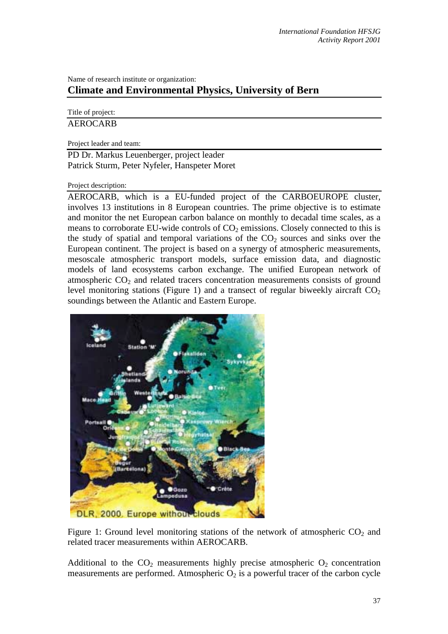## Name of research institute or organization: **Climate and Environmental Physics, University of Bern**

Title of project: AEROCARB

Project leader and team:

PD Dr. Markus Leuenberger, project leader Patrick Sturm, Peter Nyfeler, Hanspeter Moret

Project description:

AEROCARB, which is a EU-funded project of the CARBOEUROPE cluster, involves 13 institutions in 8 European countries. The prime objective is to estimate and monitor the net European carbon balance on monthly to decadal time scales, as a means to corroborate EU-wide controls of  $CO<sub>2</sub>$  emissions. Closely connected to this is the study of spatial and temporal variations of the  $CO<sub>2</sub>$  sources and sinks over the European continent. The project is based on a synergy of atmospheric measurements, mesoscale atmospheric transport models, surface emission data, and diagnostic models of land ecosystems carbon exchange. The unified European network of atmospheric  $CO<sub>2</sub>$  and related tracers concentration measurements consists of ground level monitoring stations (Figure 1) and a transect of regular biweekly aircraft  $CO<sub>2</sub>$ soundings between the Atlantic and Eastern Europe.



Figure 1: Ground level monitoring stations of the network of atmospheric  $CO<sub>2</sub>$  and related tracer measurements within AEROCARB.

Additional to the  $CO<sub>2</sub>$  measurements highly precise atmospheric  $O<sub>2</sub>$  concentration measurements are performed. Atmospheric  $O_2$  is a powerful tracer of the carbon cycle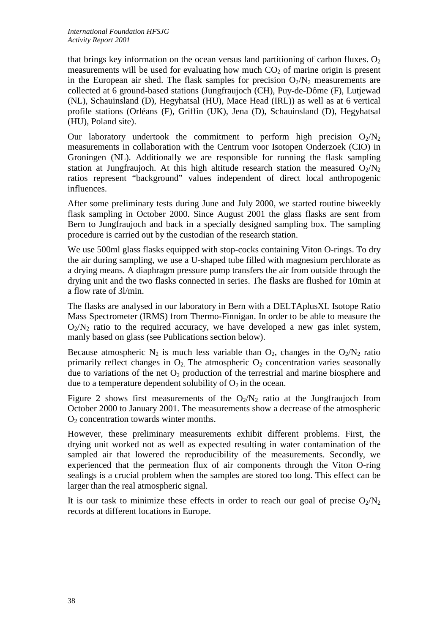that brings key information on the ocean versus land partitioning of carbon fluxes.  $O_2$ measurements will be used for evaluating how much  $CO<sub>2</sub>$  of marine origin is present in the European air shed. The flask samples for precision  $O_2/N_2$  measurements are collected at 6 ground-based stations (Jungfraujoch (CH), Puy-de-Dôme (F), Lutjewad (NL), Schauinsland (D), Hegyhatsal (HU), Mace Head (IRL)) as well as at 6 vertical profile stations (Orléans (F), Griffin (UK), Jena (D), Schauinsland (D), Hegyhatsal (HU), Poland site).

Our laboratory undertook the commitment to perform high precision  $O_2/N_2$ measurements in collaboration with the Centrum voor Isotopen Onderzoek (CIO) in Groningen (NL). Additionally we are responsible for running the flask sampling station at Jungfraujoch. At this high altitude research station the measured  $O_2/N_2$ ratios represent "background" values independent of direct local anthropogenic influences.

After some preliminary tests during June and July 2000, we started routine biweekly flask sampling in October 2000. Since August 2001 the glass flasks are sent from Bern to Jungfraujoch and back in a specially designed sampling box. The sampling procedure is carried out by the custodian of the research station.

We use 500ml glass flasks equipped with stop-cocks containing Viton O-rings. To dry the air during sampling, we use a U-shaped tube filled with magnesium perchlorate as a drying means. A diaphragm pressure pump transfers the air from outside through the drying unit and the two flasks connected in series. The flasks are flushed for 10min at a flow rate of 3l/min.

The flasks are analysed in our laboratory in Bern with a DELTAplusXL Isotope Ratio Mass Spectrometer (IRMS) from Thermo-Finnigan. In order to be able to measure the  $O_2/N_2$  ratio to the required accuracy, we have developed a new gas inlet system, manly based on glass (see Publications section below).

Because atmospheric  $N_2$  is much less variable than  $O_2$ , changes in the  $O_2/N_2$  ratio primarily reflect changes in  $O_2$ . The atmospheric  $O_2$  concentration varies seasonally due to variations of the net  $O_2$  production of the terrestrial and marine biosphere and due to a temperature dependent solubility of  $O_2$  in the ocean.

Figure 2 shows first measurements of the  $O_2/N_2$  ratio at the Jungfraujoch from October 2000 to January 2001. The measurements show a decrease of the atmospheric  $O<sub>2</sub>$  concentration towards winter months.

However, these preliminary measurements exhibit different problems. First, the drying unit worked not as well as expected resulting in water contamination of the sampled air that lowered the reproducibility of the measurements. Secondly, we experienced that the permeation flux of air components through the Viton O-ring sealings is a crucial problem when the samples are stored too long. This effect can be larger than the real atmospheric signal.

It is our task to minimize these effects in order to reach our goal of precise  $O_2/N_2$ records at different locations in Europe.